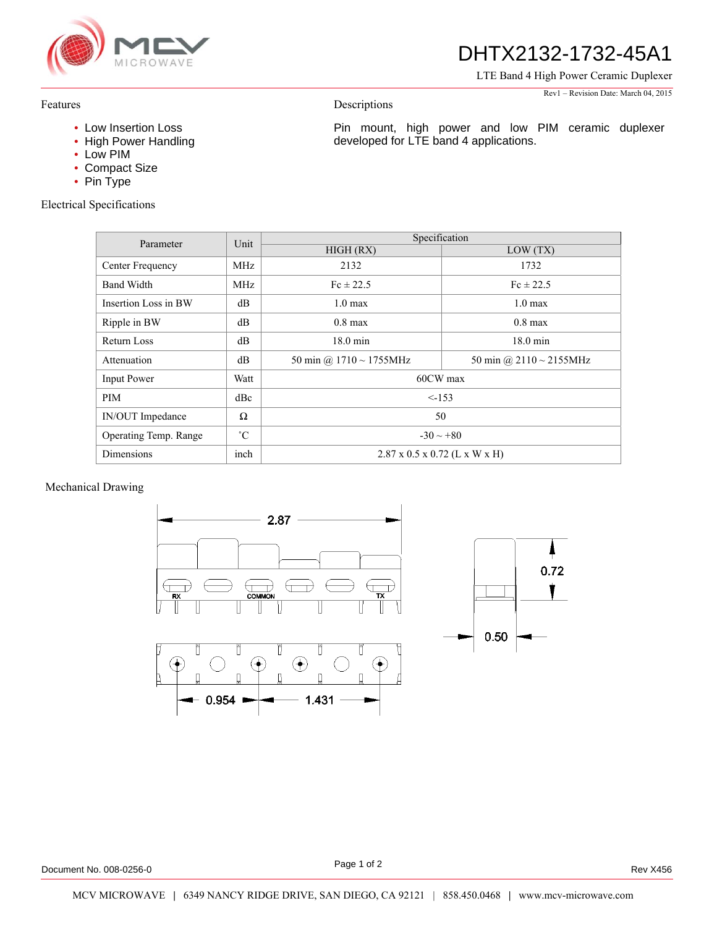

## DHTX2132-1732-45A1

Pin mount, high power and low PIM ceramic duplexer

developed for LTE band 4 applications.

LTE Band 4 High Power Ceramic Duplexer

#### Rev1 – Revision Date: March 04, 2015

#### Features

- Low Insertion Loss
- High Power Handling
- Low PIM
- Compact Size
- Pin Type

Electrical Specifications

| Parameter                    | Unit        | Specification                             |                               |
|------------------------------|-------------|-------------------------------------------|-------------------------------|
|                              |             | HIGH (RX)                                 | LOW(TX)                       |
| Center Frequency             | MHz         | 2132                                      | 1732                          |
| <b>Band Width</b>            | MHz         | $Fc \pm 22.5$                             | $Fc \pm 22.5$                 |
| Insertion Loss in BW         | dB          | $1.0 \text{ max}$                         | $1.0 \text{ max}$             |
| Ripple in BW                 | dB          | $0.8$ max                                 | $0.8$ max                     |
| Return Loss                  | dB          | $18.0 \text{ min}$                        | $18.0 \text{ min}$            |
| Attenuation                  | dB          | 50 min @ $1710 \sim 1755$ MHz             | 50 min @ $2110 \sim 2155$ MHz |
| <b>Input Power</b>           | Watt        | 60CW max                                  |                               |
| PIM                          | dBc         | $\leq$ -153                               |                               |
| IN/OUT Impedance             | Ω           | 50                                        |                               |
| <b>Operating Temp. Range</b> | $^{\circ}C$ | $-30 \sim +80$                            |                               |
| Dimensions                   | inch        | $2.87 \times 0.5 \times 0.72$ (L x W x H) |                               |

Descriptions

#### Mechanical Drawing



Page 1 of 2